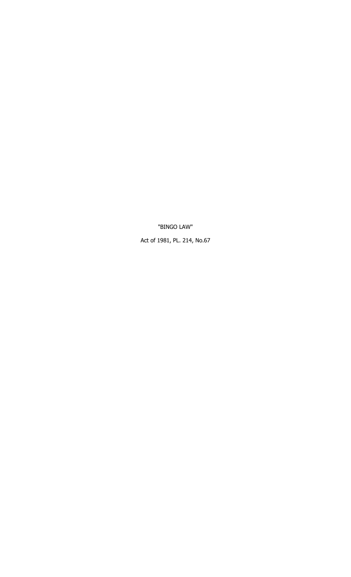"BINGO LAW"

Act of 1981, PL. 214, No.67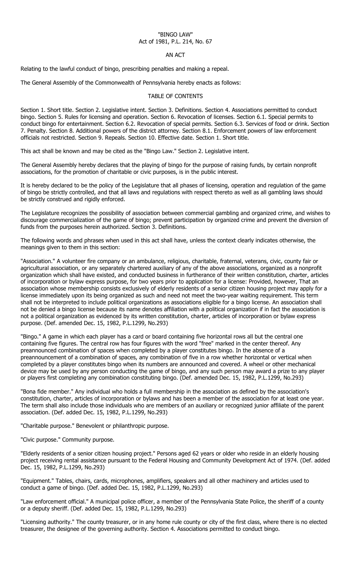## "BINGO LAW" Act of 1981, P.L. 214, No. 67

## AN ACT

Relating to the lawful conduct of bingo, prescribing penalties and making a repeal.

The General Assembly of the Commonwealth of Pennsylvania hereby enacts as follows:

## TABLE OF CONTENTS

Section 1. Short title. Section 2. Legislative intent. Section 3. Definitions. Section 4. Associations permitted to conduct bingo. Section 5. Rules for licensing and operation. Section 6. Revocation of licenses. Section 6.1. Special permits to conduct bingo for entertainment. Section 6.2. Revocation of special permits. Section 6.3. Services of food or drink. Section 7. Penalty. Section 8. Additional powers of the district attorney. Section 8.1. Enforcement powers of law enforcement officials not restricted. Section 9. Repeals. Section 10. Effective date. Section 1. Short title.

This act shall be known and may be cited as the "Bingo Law." Section 2. Legislative intent.

The General Assembly hereby declares that the playing of bingo for the purpose of raising funds, by certain nonprofit associations, for the promotion of charitable or civic purposes, is in the public interest.

It is hereby declared to be the policy of the Legislature that all phases of licensing, operation and regulation of the game of bingo be strictly controlled, and that all laws and regulations with respect thereto as well as all gambling laws should be strictly construed and rigidly enforced.

The Legislature recognizes the possibility of association between commercial gambling and organized crime, and wishes to discourage commercialization of the game of bingo; prevent participation by organized crime and prevent the diversion of funds from the purposes herein authorized. Section 3. Definitions.

The following words and phrases when used in this act shall have, unless the context clearly indicates otherwise, the meanings given to them in this section:

"Association." A volunteer fire company or an ambulance, religious, charitable, fraternal, veterans, civic, county fair or agricultural association, or any separately chartered auxiliary of any of the above associations, organized as a nonprofit organization which shall have existed, and conducted business in furtherance of their written constitution, charter, articles of incorporation or bylaw express purpose, for two years prior to application for a license: Provided, however, That an association whose membership consists exclusively of elderly residents of a senior citizen housing project may apply for a license immediately upon its being organized as such and need not meet the two-year waiting requirement. This term shall not be interpreted to include political organizations as associations eligible for a bingo license. An association shall not be denied a bingo license because its name denotes affiliation with a political organization if in fact the association is not a political organization as evidenced by its written constitution, charter, articles of incorporation or bylaw express purpose. (Def. amended Dec. 15, 1982, P.L.1299, No.293)

"Bingo." A game in which each player has a card or board containing five horizontal rows all but the central one containing five figures. The central row has four figures with the word "free" marked in the center thereof. Any preannounced combination of spaces when completed by a player constitutes bingo. In the absence of a preannouncement of a combination of spaces, any combination of five in a row whether horizontal or vertical when completed by a player constitutes bingo when its numbers are announced and covered. A wheel or other mechanical device may be used by any person conducting the game of bingo, and any such person may award a prize to any player or players first completing any combination constituting bingo. (Def. amended Dec. 15, 1982, P.L.1299, No.293)

"Bona fide member." Any individual who holds a full membership in the association as defined by the association's constitution, charter, articles of incorporation or bylaws and has been a member of the association for at least one year. The term shall also include those individuals who are members of an auxiliary or recognized junior affiliate of the parent association. (Def. added Dec. 15, 1982, P.L.1299, No.293)

"Charitable purpose." Benevolent or philanthropic purpose.

"Civic purpose." Community purpose.

"Elderly residents of a senior citizen housing project." Persons aged 62 years or older who reside in an elderly housing project receiving rental assistance pursuant to the Federal Housing and Community Development Act of 1974. (Def. added Dec. 15, 1982, P.L.1299, No.293)

"Equipment." Tables, chairs, cards, microphones, amplifiers, speakers and all other machinery and articles used to conduct a game of bingo. (Def. added Dec. 15, 1982, P.L.1299, No.293)

"Law enforcement official." A municipal police officer, a member of the Pennsylvania State Police, the sheriff of a county or a deputy sheriff. (Def. added Dec. 15, 1982, P.L.1299, No.293)

"Licensing authority." The county treasurer, or in any home rule county or city of the first class, where there is no elected treasurer, the designee of the governing authority. Section 4. Associations permitted to conduct bingo.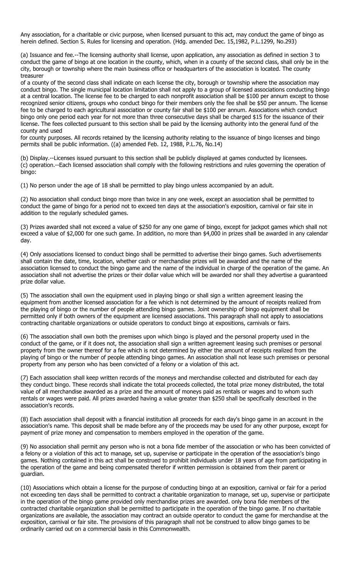Any association, for a charitable or civic purpose, when licensed pursuant to this act, may conduct the game of bingo as herein defined. Section S. Rules for licensing and operation. (Hdg. amended Dec. 15,1982, P.L.1299, No.293)

(a) Issuance and fee.--The licensing authority shall license, upon application, any association as defined in section 3 to conduct the game of bingo at one location in the county, which, when in a county of the second class, shall only be in the city, borough or township where the main business office or headquarters of the association is located. The county treasurer

of a county of the second class shall indicate on each license the city, borough or township where the association may conduct bingo. The single municipal location limitation shall not apply to a group of licensed associations conducting bingo at a central location. The license fee to be charged to each nonprofit association shall be \$100 per annum except to those recognized senior citizens, groups who conduct bingo for their members only the fee shall be \$50 per annum. The license fee to be charged to each agricultural association or county fair shall be \$100 per annum. Associations which conduct bingo only one period each year for not more than three consecutive days shall be charged \$15 for the issuance of their license. The fees collected pursuant to this section shall be paid by the licensing authority into the general fund of the county and used

for county purposes. All records retained by the licensing authority relating to the issuance of bingo licenses and bingo permits shall be public information. ((a) amended Feb. 12, 1988, P.L.76, No.14)

(b) Display.--Licenses issued pursuant to this section shall be publicly displayed at games conducted by licensees. (c) operation.--Each licensed association shall comply with the following restrictions and rules governing the operation of bingo:

(1) No person under the age of 18 shall be permitted to play bingo unless accompanied by an adult.

(2) No association shall conduct bingo more than twice in any one week, except an association shall be permitted to conduct the game of bingo for a period not to exceed ten days at the association's exposition, carnival or fair site in addition to the regularly scheduled games.

(3) Prizes awarded shall not exceed a value of \$250 for any one game of bingo, except for jackpot games which shall not exceed a value of \$2,000 for one such game. In addition, no more than \$4,000 in prizes shall be awarded in any calendar day.

(4) Only associations licensed to conduct bingo shall be permitted to advertise their bingo games. Such advertisements shall contain the date, time, location, whether cash or merchandise prizes will be awarded and the name of the association licensed to conduct the bingo game and the name of the individual in charge of the operation of the game. An association shall not advertise the prizes or their dollar value which will be awarded nor shall they advertise a guaranteed prize dollar value.

(5) The association shall own the equipment used in playing bingo or shall sign a written agreement leasing the equipment from another licensed association for a fee which is not determined by the amount of receipts realized from the playing of bingo or the number of people attending bingo games. Joint ownership of bingo equipment shall be permitted only if both owners of the equipment are licensed associations. This paragraph shall not apply to associations contracting charitable organizations or outside operators to conduct bingo at expositions, carnivals or fairs.

(6) The association shall own both the premises upon which bingo is played and the personal property used in the conduct of the game, or if it does not, the association shall sign a written agreement leasing such premises or personal property from the owner thereof for a fee which is not determined by either the amount of receipts realized from the playing of bingo or the number of people attending bingo games. An association shall not lease such premises or personal property from any person who has been convicted of a felony or a violation of this act.

(7) Each association shall keep written records of the moneys and merchandise collected and distributed for each day they conduct bingo. These records shall indicate the total proceeds collected, the total prize money distributed, the total value of all merchandise awarded as a prize and the amount of moneys paid as rentals or wages and to whom such rentals or wages were paid. All prizes awarded having a value greater than \$250 shall be specifically described in the association's records.

(8) Each association shall deposit with a financial institution all proceeds for each day's bingo game in an account in the association's name. This deposit shall be made before any of the proceeds may be used for any other purpose, except for payment of prize money and compensation to members employed in the operation of the game.

(9) No association shall permit any person who is not a bona fide member of the association or who has been convicted of a felony or a violation of this act to manage, set up, supervise or participate in the operation of the association's bingo games. Nothing contained in this act shall be construed to prohibit individuals under 18 years of age from participating in the operation of the game and being compensated therefor if written permission is obtained from their parent or guardian.

(10) Associations which obtain a license for the purpose of conducting bingo at an exposition, carnival or fair for a period not exceeding ten days shall be permitted to contract a charitable organization to manage, set up, supervise or participate in the operation of the bingo game provided only merchandise prizes are awarded. only bona fide members of the contracted charitable organization shall be permitted to participate in the operation of the bingo game. If no charitable organizations are available, the association may contract an outside operator to conduct the game for merchandise at the exposition, carnival or fair site. The provisions of this paragraph shall not be construed to allow bingo games to be ordinarily carried out on a commercial basis in this Commonwealth.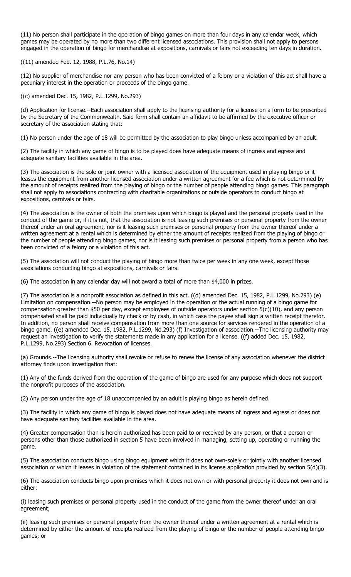(11) No person shall participate in the operation of bingo games on more than four days in any calendar week, which games may be operated by no more than two different licensed associations. This provision shall not apply to persons engaged in the operation of bingo for merchandise at expositions, carnivals or fairs not exceeding ten days in duration.

((11) amended Feb. 12, 1988, P.L.76, No.14)

(12) No supplier of merchandise nor any person who has been convicted of a felony or a violation of this act shall have a pecuniary interest in the operation or proceeds of the bingo game.

((c) amended Dec. 15, 1982, P.L.1299, No.293)

(d) Application for license.--Each association shall apply to the licensing authority for a license on a form to be prescribed by the Secretary of the Commonwealth. Said form shall contain an affidavit to be affirmed by the executive officer or secretary of the association stating that:

(1) No person under the age of 18 will be permitted by the association to play bingo unless accompanied by an adult.

(2) The facility in which any game of bingo is to be played does have adequate means of ingress and egress and adequate sanitary facilities available in the area.

(3) The association is the sole or joint owner with a licensed association of the equipment used in playing bingo or it leases the equipment from another licensed association under a written agreement for a fee which is not determined by the amount of receipts realized from the playing of bingo or the number of people attending bingo games. This paragraph shall not apply to associations contracting with charitable organizations or outside operators to conduct bingo at expositions, carnivals or fairs.

(4) The association is the owner of both the premises upon which bingo is played and the personal property used in the conduct of the game or, if it is not, that the association is not leasing such premises or personal property from the owner thereof under an oral agreement, nor is it leasing such premises or personal property from the owner thereof under a written agreement at a rental which is determined by either the amount of receipts realized from the playing of bingo or the number of people attending bingo games, nor is it leasing such premises or personal property from a person who has been convicted of a felony or a violation of this act.

(5) The association will not conduct the playing of bingo more than twice per week in any one week, except those associations conducting bingo at expositions, carnivals or fairs.

(6) The association in any calendar day will not award a total of more than \$4,000 in prizes.

(7) The association is a nonprofit association as defined in this act. ((d) amended Dec. 15, 1982, P.L.1299, No.293) (e) Limitation on compensation.--No person may be employed in the operation or the actual running of a bingo game for compensation greater than \$50 per day, except employees of outside operators under section 5(c)(10), and any person compensated shall be paid individually by check or by cash, in which case the payee shall sign a written receipt therefor. In addition, no person shall receive compensation from more than one source for services rendered in the operation of a bingo game. ((e) amended Dec. 15, 1982, P.L.1299, No.293) (f) Investigation of association.--The licensing authority may request an investigation to verify the statements made in any application for a license. ((f) added Dec. 15, 1982, P.L.1299, No.293) Section 6. Revocation of licenses.

(a) Grounds.--The licensing authority shall revoke or refuse to renew the license of any association whenever the district attorney finds upon investigation that:

(1) Any of the funds derived from the operation of the game of bingo are used for any purpose which does not support the nonprofit purposes of the association.

(2) Any person under the age of 18 unaccompanied by an adult is playing bingo as herein defined.

(3) The facility in which any game of bingo is played does not have adequate means of ingress and egress or does not have adequate sanitary facilities available in the area.

(4) Greater compensation than is herein authorized has been paid to or received by any person, or that a person or persons other than those authorized in section 5 have been involved in managing, setting up, operating or running the game.

(5) The association conducts bingo using bingo equipment which it does not own-solely or jointly with another licensed association or which it leases in violation of the statement contained in its license application provided by section 5(d)(3).

(6) The association conducts bingo upon premises which it does not own or with personal property it does not own and is either:

(i) leasing such premises or personal property used in the conduct of the game from the owner thereof under an oral agreement;

(ii) leasing such premises or personal property from the owner thereof under a written agreement at a rental which is determined by either the amount of receipts realized from the playing of bingo or the number of people attending bingo games; or